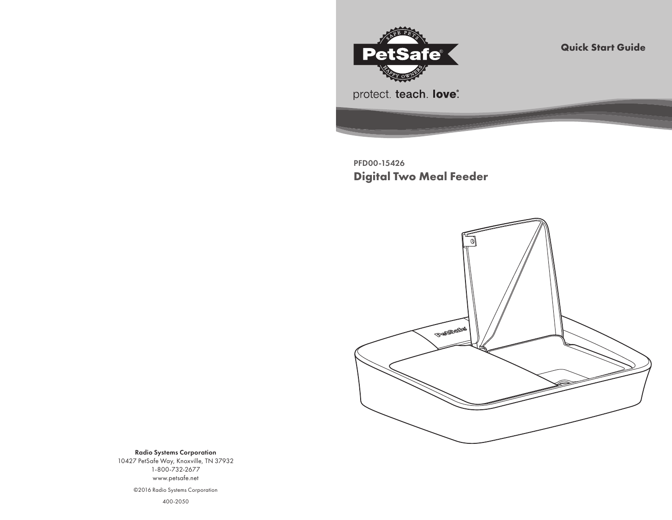

**Quick Start Guide**

PFD00-15426 **Digital Two Meal Feeder**



Radio Systems Corporation 10427 PetSafe Way, Knoxville, TN 37932 1-800-732-2677 www.petsafe.net

©2016 Radio Systems Corporation

400-2050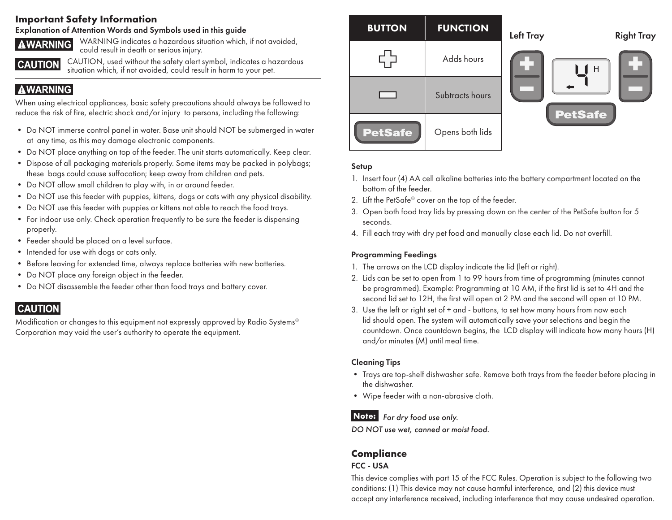#### **Important Safety Information**

#### Explanation of Attention Words and Symbols used in this guide



WARNING indicates a hazardous situation which, if not avoided, could result in death or serious injury.

**CAUTION** 

CAUTION, used without the safety alert symbol, indicates a hazardous situation which, if not avoided, could result in harm to your pet.

## **AWARNING**

When using electrical appliances, basic safety precautions should always be followed to reduce the risk of fire, electric shock and/or injury to persons, including the following:

- Do NOT immerse control panel in water. Base unit should NOT be submerged in water at any time, as this may damage electronic components.
- Do NOT place anything on top of the feeder. The unit starts automatically. Keep clear.
- Dispose of all packaging materials properly. Some items may be packed in polybags; these bags could cause suffocation; keep away from children and pets.
- Do NOT allow small children to play with, in or around feeder.
- Do NOT use this feeder with puppies, kittens, dogs or cats with any physical disability.
- Do NOT use this feeder with puppies or kittens not able to reach the food trays.
- For indoor use only. Check operation frequently to be sure the feeder is dispensing properly.
- Feeder should be placed on a level surface.
- Intended for use with dogs or cats only.
- Before leaving for extended time, always replace batteries with new batteries.
- Do NOT place any foreign object in the feeder.
- Do NOT disassemble the feeder other than food trays and battery cover.

# **CAUTION**

Modification or changes to this equipment not expressly approved by Radio Systems® Corporation may void the user's authority to operate the equipment.



#### Setup

- 1. Insert four (4) AA cell alkaline batteries into the battery compartment located on the bottom of the feeder.
- 2. Lift the PetSafe® cover on the top of the feeder.
- 3. Open both food tray lids by pressing down on the center of the PetSafe button for 5 seconds.
- 4. Fill each tray with dry pet food and manually close each lid. Do not overfill.

#### Programming Feedings

- 1. The arrows on the LCD display indicate the lid (left or right).
- 2. Lids can be set to open from 1 to 99 hours from time of programming (minutes cannot be programmed). Example: Programming at 10 AM, if the first lid is set to 4H and the second lid set to 12H, the first will open at 2 PM and the second will open at 10 PM.
- 3. Use the left or right set of + and buttons, to set how many hours from now each lid should open. The system will automatically save your selections and begin the countdown. Once countdown begins, the LCD display will indicate how many hours (H) and/or minutes (M) until meal time.

#### Cleaning Tips

- Trays are top-shelf dishwasher safe. Remove both trays from the feeder before placing in the dishwasher.
- Wipe feeder with a non-abrasive cloth.

#### *For dry food use only.*   **Note:**

*DO NOT use wet, canned or moist food.*

### **Compliance**

#### FCC - USA

This device complies with part 15 of the FCC Rules. Operation is subject to the following two conditions: (1) This device may not cause harmful interference, and (2) this device must accept any interference received, including interference that may cause undesired operation.